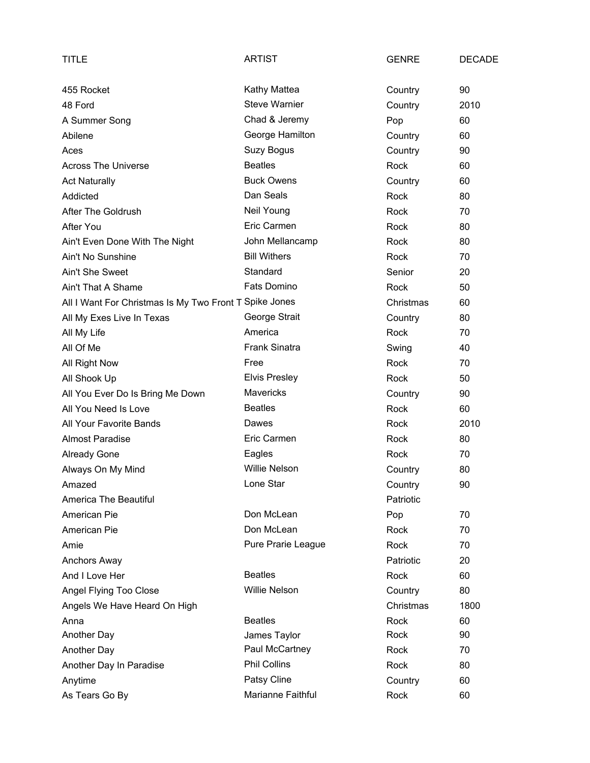| TITLE                                                  | <b>ARTIST</b>        | <b>GENRE</b> | <b>DECADE</b> |
|--------------------------------------------------------|----------------------|--------------|---------------|
| 455 Rocket                                             | Kathy Mattea         | Country      | 90            |
| 48 Ford                                                | <b>Steve Warnier</b> | Country      | 2010          |
| A Summer Song                                          | Chad & Jeremy        | Pop          | 60            |
| Abilene                                                | George Hamilton      | Country      | 60            |
| Aces                                                   | Suzy Bogus           | Country      | 90            |
| <b>Across The Universe</b>                             | <b>Beatles</b>       | <b>Rock</b>  | 60            |
| <b>Act Naturally</b>                                   | <b>Buck Owens</b>    | Country      | 60            |
| Addicted                                               | Dan Seals            | Rock         | 80            |
| After The Goldrush                                     | Neil Young           | Rock         | 70            |
| After You                                              | Eric Carmen          | Rock         | 80            |
| Ain't Even Done With The Night                         | John Mellancamp      | Rock         | 80            |
| Ain't No Sunshine                                      | <b>Bill Withers</b>  | Rock         | 70            |
| Ain't She Sweet                                        | Standard             | Senior       | 20            |
| Ain't That A Shame                                     | <b>Fats Domino</b>   | Rock         | 50            |
| All I Want For Christmas Is My Two Front T Spike Jones |                      | Christmas    | 60            |
| All My Exes Live In Texas                              | George Strait        | Country      | 80            |
| All My Life                                            | America              | Rock         | 70            |
| All Of Me                                              | <b>Frank Sinatra</b> | Swing        | 40            |
| All Right Now                                          | Free                 | Rock         | 70            |
| All Shook Up                                           | <b>Elvis Presley</b> | Rock         | 50            |
| All You Ever Do Is Bring Me Down                       | <b>Mavericks</b>     | Country      | 90            |
| All You Need Is Love                                   | <b>Beatles</b>       | Rock         | 60            |
| All Your Favorite Bands                                | Dawes                | Rock         | 2010          |
| <b>Almost Paradise</b>                                 | Eric Carmen          | Rock         | 80            |
| <b>Already Gone</b>                                    | Eagles               | Rock         | 70            |
| Always On My Mind                                      | <b>Willie Nelson</b> | Country      | 80            |
| Amazed                                                 | Lone Star            | Country      | 90            |
| America The Beautiful                                  |                      | Patriotic    |               |
| American Pie                                           | Don McLean           | Pop          | 70            |
| American Pie                                           | Don McLean           | <b>Rock</b>  | 70            |
| Amie                                                   | Pure Prarie League   | Rock         | 70            |
| Anchors Away                                           |                      | Patriotic    | 20            |
| And I Love Her                                         | <b>Beatles</b>       | Rock         | 60            |
| Angel Flying Too Close                                 | <b>Willie Nelson</b> | Country      | 80            |
| Angels We Have Heard On High                           |                      | Christmas    | 1800          |
| Anna                                                   | <b>Beatles</b>       | Rock         | 60            |
| Another Day                                            | James Taylor         | Rock         | 90            |
| Another Day                                            | Paul McCartney       | Rock         | 70            |
| Another Day In Paradise                                | <b>Phil Collins</b>  | Rock         | 80            |
| Anytime                                                | Patsy Cline          | Country      | 60            |
| As Tears Go By                                         | Marianne Faithful    | Rock         | 60            |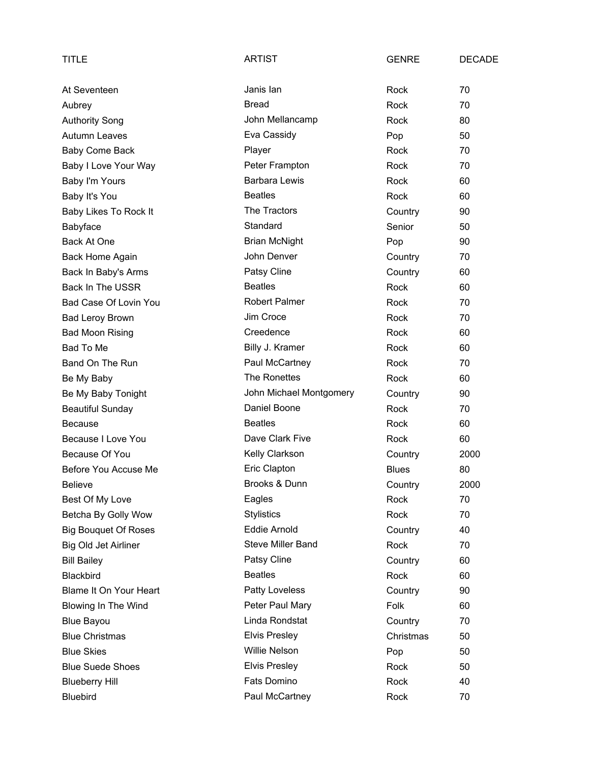| <b>TITLE</b>                | <b>ARTIST</b>            | <b>GENRE</b> | <b>DECADE</b> |
|-----------------------------|--------------------------|--------------|---------------|
| At Seventeen                | Janis lan                | Rock         | 70            |
| Aubrey                      | <b>Bread</b>             | Rock         | 70            |
| <b>Authority Song</b>       | John Mellancamp          | Rock         | 80            |
| Autumn Leaves               | Eva Cassidy              | Pop          | 50            |
| Baby Come Back              | Player                   | Rock         | 70            |
| Baby I Love Your Way        | Peter Frampton           | Rock         | 70            |
| Baby I'm Yours              | <b>Barbara Lewis</b>     | Rock         | 60            |
| Baby It's You               | <b>Beatles</b>           | Rock         | 60            |
| Baby Likes To Rock It       | The Tractors             | Country      | 90            |
| Babyface                    | Standard                 | Senior       | 50            |
| Back At One                 | <b>Brian McNight</b>     | Pop          | 90            |
| Back Home Again             | John Denver              | Country      | 70            |
| Back In Baby's Arms         | Patsy Cline              | Country      | 60            |
| <b>Back In The USSR</b>     | <b>Beatles</b>           | Rock         | 60            |
| Bad Case Of Lovin You       | <b>Robert Palmer</b>     | Rock         | 70            |
| <b>Bad Leroy Brown</b>      | Jim Croce                | Rock         | 70            |
| <b>Bad Moon Rising</b>      | Creedence                | Rock         | 60            |
| Bad To Me                   | Billy J. Kramer          | Rock         | 60            |
| Band On The Run             | Paul McCartney           | Rock         | 70            |
| Be My Baby                  | The Ronettes             | Rock         | 60            |
| Be My Baby Tonight          | John Michael Montgomery  | Country      | 90            |
| <b>Beautiful Sunday</b>     | Daniel Boone             | Rock         | 70            |
| <b>Because</b>              | <b>Beatles</b>           | Rock         | 60            |
| Because I Love You          | Dave Clark Five          | Rock         | 60            |
| Because Of You              | Kelly Clarkson           | Country      | 2000          |
| Before You Accuse Me        | Eric Clapton             | <b>Blues</b> | 80            |
| <b>Believe</b>              | Brooks & Dunn            | Country      | 2000          |
| Best Of My Love             | Eagles                   | Rock         | 70            |
| Betcha By Golly Wow         | <b>Stylistics</b>        | Rock         | 70            |
| <b>Big Bouquet Of Roses</b> | <b>Eddie Arnold</b>      | Country      | 40            |
| Big Old Jet Airliner        | <b>Steve Miller Band</b> | Rock         | 70            |
| <b>Bill Bailey</b>          | Patsy Cline              | Country      | 60            |
| Blackbird                   | <b>Beatles</b>           | Rock         | 60            |
| Blame It On Your Heart      | Patty Loveless           | Country      | 90            |
| Blowing In The Wind         | Peter Paul Mary          | Folk         | 60            |
| <b>Blue Bayou</b>           | Linda Rondstat           | Country      | 70            |
| <b>Blue Christmas</b>       | <b>Elvis Presley</b>     | Christmas    | 50            |
| <b>Blue Skies</b>           | <b>Willie Nelson</b>     | Pop          | 50            |
| <b>Blue Suede Shoes</b>     | <b>Elvis Presley</b>     | Rock         | 50            |
| <b>Blueberry Hill</b>       | Fats Domino              | Rock         | 40            |
| <b>Bluebird</b>             | Paul McCartney           | Rock         | 70            |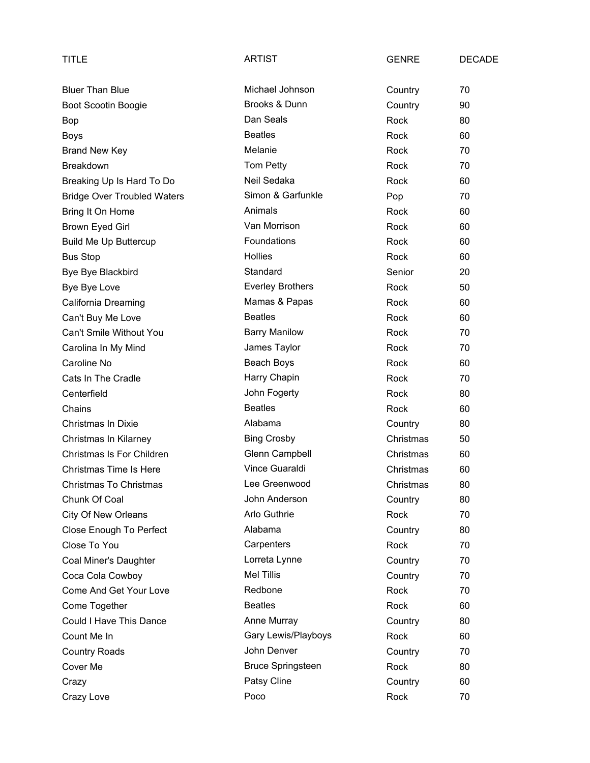| TITLE                              | <b>ARTIST</b>            | <b>GENRE</b> | <b>DECADE</b> |
|------------------------------------|--------------------------|--------------|---------------|
| <b>Bluer Than Blue</b>             | Michael Johnson          | Country      | 70            |
| Boot Scootin Boogie                | Brooks & Dunn            | Country      | 90            |
| Bop                                | Dan Seals                | Rock         | 80            |
| <b>Boys</b>                        | <b>Beatles</b>           | Rock         | 60            |
| <b>Brand New Key</b>               | Melanie                  | <b>Rock</b>  | 70            |
| <b>Breakdown</b>                   | Tom Petty                | Rock         | 70            |
| Breaking Up Is Hard To Do          | Neil Sedaka              | Rock         | 60            |
| <b>Bridge Over Troubled Waters</b> | Simon & Garfunkle        | Pop          | 70            |
| Bring It On Home                   | Animals                  | Rock         | 60            |
| Brown Eyed Girl                    | Van Morrison             | Rock         | 60            |
| <b>Build Me Up Buttercup</b>       | Foundations              | Rock         | 60            |
| <b>Bus Stop</b>                    | <b>Hollies</b>           | <b>Rock</b>  | 60            |
| Bye Bye Blackbird                  | Standard                 | Senior       | 20            |
| Bye Bye Love                       | <b>Everley Brothers</b>  | Rock         | 50            |
| California Dreaming                | Mamas & Papas            | Rock         | 60            |
| Can't Buy Me Love                  | <b>Beatles</b>           | Rock         | 60            |
| Can't Smile Without You            | <b>Barry Manilow</b>     | Rock         | 70            |
| Carolina In My Mind                | James Taylor             | Rock         | 70            |
| Caroline No                        | Beach Boys               | Rock         | 60            |
| Cats In The Cradle                 | Harry Chapin             | Rock         | 70            |
| Centerfield                        | John Fogerty             | Rock         | 80            |
| Chains                             | <b>Beatles</b>           | Rock         | 60            |
| Christmas In Dixie                 | Alabama                  | Country      | 80            |
| Christmas In Kilarney              | <b>Bing Crosby</b>       | Christmas    | 50            |
| Christmas Is For Children          | Glenn Campbell           | Christmas    | 60            |
| Christmas Time Is Here             | Vince Guaraldi           | Christmas    | 60            |
| Christmas To Christmas             | Lee Greenwood            | Christmas    | 80            |
| Chunk Of Coal                      | John Anderson            | Country      | 80            |
| <b>City Of New Orleans</b>         | Arlo Guthrie             | <b>Rock</b>  | 70            |
| Close Enough To Perfect            | Alabama                  | Country      | 80            |
| Close To You                       | Carpenters               | Rock         | 70            |
| Coal Miner's Daughter              | Lorreta Lynne            | Country      | 70            |
| Coca Cola Cowboy                   | <b>Mel Tillis</b>        | Country      | 70            |
| Come And Get Your Love             | Redbone                  | Rock         | 70            |
| Come Together                      | <b>Beatles</b>           | Rock         | 60            |
| Could I Have This Dance            | Anne Murray              | Country      | 80            |
| Count Me In                        | Gary Lewis/Playboys      | Rock         | 60            |
| <b>Country Roads</b>               | John Denver              | Country      | 70            |
| Cover Me                           | <b>Bruce Springsteen</b> | Rock         | 80            |
| Crazy                              | Patsy Cline              | Country      | 60            |
| Crazy Love                         | Poco                     | Rock         | 70            |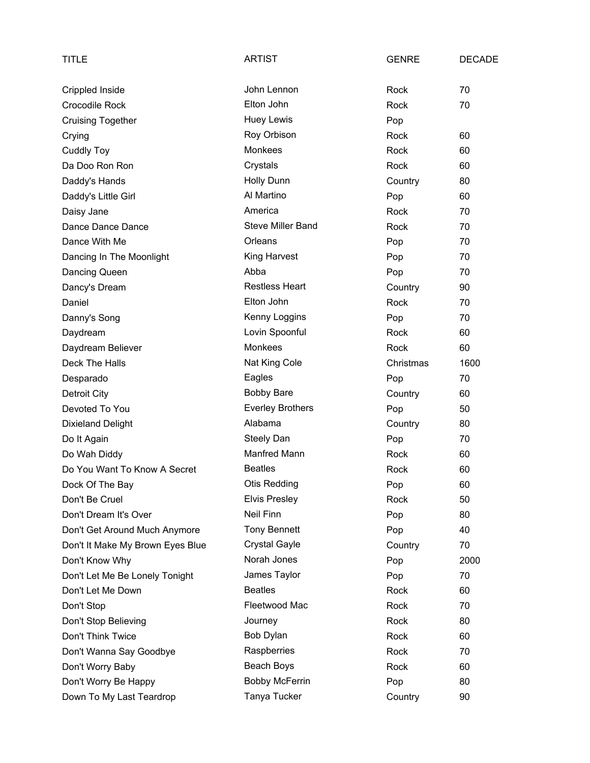| TITLE                            | <b>ARTIST</b>            | <b>GENRE</b> | <b>DECADE</b> |
|----------------------------------|--------------------------|--------------|---------------|
| Crippled Inside                  | John Lennon              | Rock         | 70            |
| Crocodile Rock                   | Elton John               | Rock         | 70            |
| <b>Cruising Together</b>         | <b>Huey Lewis</b>        | Pop          |               |
| Crying                           | Roy Orbison              | Rock         | 60            |
| <b>Cuddly Toy</b>                | Monkees                  | Rock         | 60            |
| Da Doo Ron Ron                   | Crystals                 | <b>Rock</b>  | 60            |
| Daddy's Hands                    | Holly Dunn               | Country      | 80            |
| Daddy's Little Girl              | Al Martino               | Pop          | 60            |
| Daisy Jane                       | America                  | Rock         | 70            |
| Dance Dance Dance                | <b>Steve Miller Band</b> | Rock         | 70            |
| Dance With Me                    | Orleans                  | Pop          | 70            |
| Dancing In The Moonlight         | King Harvest             | Pop          | 70            |
| Dancing Queen                    | Abba                     | Pop          | 70            |
| Dancy's Dream                    | <b>Restless Heart</b>    | Country      | 90            |
| Daniel                           | Elton John               | <b>Rock</b>  | 70            |
| Danny's Song                     | Kenny Loggins            | Pop          | 70            |
| Daydream                         | Lovin Spoonful           | Rock         | 60            |
| Daydream Believer                | <b>Monkees</b>           | Rock         | 60            |
| Deck The Halls                   | Nat King Cole            | Christmas    | 1600          |
| Desparado                        | Eagles                   | Pop          | 70            |
| Detroit City                     | <b>Bobby Bare</b>        | Country      | 60            |
| Devoted To You                   | <b>Everley Brothers</b>  | Pop          | 50            |
| <b>Dixieland Delight</b>         | Alabama                  | Country      | 80            |
| Do It Again                      | <b>Steely Dan</b>        | Pop          | 70            |
| Do Wah Diddy                     | Manfred Mann             | Rock         | 60            |
| Do You Want To Know A Secret     | <b>Beatles</b>           | Rock         | 60            |
| Dock Of The Bay                  | <b>Otis Redding</b>      | Pop          | 60            |
| Don't Be Cruel                   | <b>Elvis Presley</b>     | Rock         | 50            |
| Don't Dream It's Over            | Neil Finn                | Pop          | 80            |
| Don't Get Around Much Anymore    | <b>Tony Bennett</b>      | Pop          | 40            |
| Don't It Make My Brown Eyes Blue | <b>Crystal Gayle</b>     | Country      | 70            |
| Don't Know Why                   | Norah Jones              | Pop          | 2000          |
| Don't Let Me Be Lonely Tonight   | James Taylor             | Pop          | 70            |
| Don't Let Me Down                | <b>Beatles</b>           | Rock         | 60            |
| Don't Stop                       | Fleetwood Mac            | Rock         | 70            |
| Don't Stop Believing             | Journey                  | Rock         | 80            |
| Don't Think Twice                | Bob Dylan                | Rock         | 60            |
| Don't Wanna Say Goodbye          | Raspberries              | Rock         | 70            |
| Don't Worry Baby                 | Beach Boys               | Rock         | 60            |
| Don't Worry Be Happy             | <b>Bobby McFerrin</b>    | Pop          | 80            |
| Down To My Last Teardrop         | Tanya Tucker             | Country      | 90            |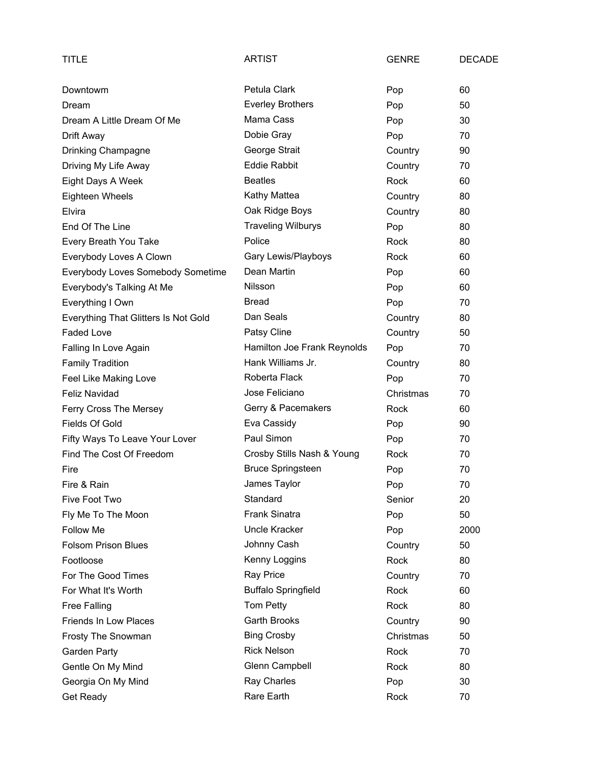| TITLE                                | <b>ARTIST</b>               | <b>GENRE</b> | <b>DECADE</b> |
|--------------------------------------|-----------------------------|--------------|---------------|
| Downtowm                             | Petula Clark                | Pop          | 60            |
| Dream                                | <b>Everley Brothers</b>     | Pop          | 50            |
| Dream A Little Dream Of Me           | Mama Cass                   | Pop          | 30            |
| Drift Away                           | Dobie Gray                  | Pop          | 70            |
| Drinking Champagne                   | George Strait               | Country      | 90            |
| Driving My Life Away                 | <b>Eddie Rabbit</b>         | Country      | 70            |
| Eight Days A Week                    | <b>Beatles</b>              | Rock         | 60            |
| Eighteen Wheels                      | Kathy Mattea                | Country      | 80            |
| Elvira                               | Oak Ridge Boys              | Country      | 80            |
| End Of The Line                      | <b>Traveling Wilburys</b>   | Pop          | 80            |
| Every Breath You Take                | Police                      | Rock         | 80            |
| Everybody Loves A Clown              | Gary Lewis/Playboys         | Rock         | 60            |
| Everybody Loves Somebody Sometime    | Dean Martin                 | Pop          | 60            |
| Everybody's Talking At Me            | Nilsson                     | Pop          | 60            |
| Everything I Own                     | <b>Bread</b>                | Pop          | 70            |
| Everything That Glitters Is Not Gold | Dan Seals                   | Country      | 80            |
| <b>Faded Love</b>                    | Patsy Cline                 | Country      | 50            |
| Falling In Love Again                | Hamilton Joe Frank Reynolds | Pop          | 70            |
| <b>Family Tradition</b>              | Hank Williams Jr.           | Country      | 80            |
| Feel Like Making Love                | Roberta Flack               | Pop          | 70            |
| <b>Feliz Navidad</b>                 | Jose Feliciano              | Christmas    | 70            |
| Ferry Cross The Mersey               | Gerry & Pacemakers          | Rock         | 60            |
| Fields Of Gold                       | Eva Cassidy                 | Pop          | 90            |
| Fifty Ways To Leave Your Lover       | Paul Simon                  | Pop          | 70            |
| Find The Cost Of Freedom             | Crosby Stills Nash & Young  | Rock         | 70            |
| Fire                                 | <b>Bruce Springsteen</b>    | Pop          | 70            |
| Fire & Rain                          | James Taylor                | Pop          | 70            |
| Five Foot Two                        | Standard                    | Senior       | 20            |
| Fly Me To The Moon                   | <b>Frank Sinatra</b>        | Pop          | 50            |
| Follow Me                            | Uncle Kracker               | Pop          | 2000          |
| <b>Folsom Prison Blues</b>           | Johnny Cash                 | Country      | 50            |
| Footloose                            | Kenny Loggins               | Rock         | 80            |
| For The Good Times                   | <b>Ray Price</b>            | Country      | 70            |
| For What It's Worth                  | <b>Buffalo Springfield</b>  | Rock         | 60            |
| <b>Free Falling</b>                  | Tom Petty                   | Rock         | 80            |
| Friends In Low Places                | Garth Brooks                | Country      | 90            |
| Frosty The Snowman                   | <b>Bing Crosby</b>          | Christmas    | 50            |
| Garden Party                         | <b>Rick Nelson</b>          | Rock         | 70            |
| Gentle On My Mind                    | Glenn Campbell              | Rock         | 80            |
| Georgia On My Mind                   | Ray Charles                 | Pop          | 30            |
| Get Ready                            | Rare Earth                  | Rock         | 70            |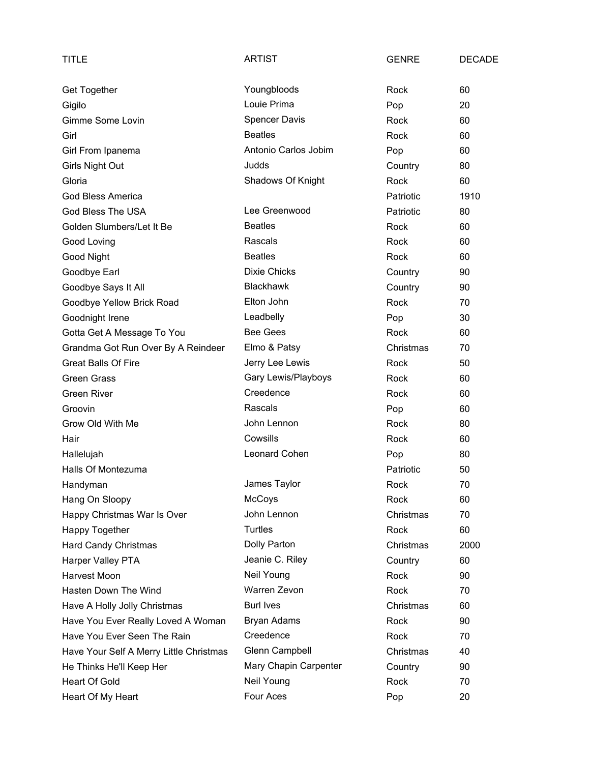| TITLE                                   | <b>ARTIST</b>         | <b>GENRE</b> | <b>DECADE</b> |
|-----------------------------------------|-----------------------|--------------|---------------|
| Get Together                            | Youngbloods           | Rock         | 60            |
| Gigilo                                  | Louie Prima           | Pop          | 20            |
| Gimme Some Lovin                        | <b>Spencer Davis</b>  | Rock         | 60            |
| Girl                                    | <b>Beatles</b>        | Rock         | 60            |
| Girl From Ipanema                       | Antonio Carlos Jobim  | Pop          | 60            |
| Girls Night Out                         | Judds                 | Country      | 80            |
| Gloria                                  | Shadows Of Knight     | Rock         | 60            |
| <b>God Bless America</b>                |                       | Patriotic    | 1910          |
| God Bless The USA                       | Lee Greenwood         | Patriotic    | 80            |
| Golden Slumbers/Let It Be               | <b>Beatles</b>        | Rock         | 60            |
| Good Loving                             | Rascals               | Rock         | 60            |
| Good Night                              | <b>Beatles</b>        | Rock         | 60            |
| Goodbye Earl                            | <b>Dixie Chicks</b>   | Country      | 90            |
| Goodbye Says It All                     | <b>Blackhawk</b>      | Country      | 90            |
| Goodbye Yellow Brick Road               | Elton John            | Rock         | 70            |
| Goodnight Irene                         | Leadbelly             | Pop          | 30            |
| Gotta Get A Message To You              | <b>Bee Gees</b>       | Rock         | 60            |
| Grandma Got Run Over By A Reindeer      | Elmo & Patsy          | Christmas    | 70            |
| <b>Great Balls Of Fire</b>              | Jerry Lee Lewis       | Rock         | 50            |
| <b>Green Grass</b>                      | Gary Lewis/Playboys   | Rock         | 60            |
| <b>Green River</b>                      | Creedence             | Rock         | 60            |
| Groovin                                 | Rascals               | Pop          | 60            |
| Grow Old With Me                        | John Lennon           | Rock         | 80            |
| Hair                                    | Cowsills              | Rock         | 60            |
| Hallelujah                              | Leonard Cohen         | Pop          | 80            |
| Halls Of Montezuma                      |                       | Patriotic    | 50            |
| Handyman                                | James Taylor          | Rock         | 70            |
| Hang On Sloopy                          | <b>McCoys</b>         | Rock         | 60            |
| Happy Christmas War Is Over             | John Lennon           | Christmas    | 70            |
| Happy Together                          | Turtles               | Rock         | 60            |
| <b>Hard Candy Christmas</b>             | Dolly Parton          | Christmas    | 2000          |
| Harper Valley PTA                       | Jeanie C. Riley       | Country      | 60            |
| Harvest Moon                            | Neil Young            | Rock         | 90            |
| Hasten Down The Wind                    | Warren Zevon          | Rock         | 70            |
| Have A Holly Jolly Christmas            | <b>Burl Ives</b>      | Christmas    | 60            |
| Have You Ever Really Loved A Woman      | <b>Bryan Adams</b>    | Rock         | 90            |
| Have You Ever Seen The Rain             | Creedence             | Rock         | 70            |
| Have Your Self A Merry Little Christmas | Glenn Campbell        | Christmas    | 40            |
| He Thinks He'll Keep Her                | Mary Chapin Carpenter | Country      | 90            |
| <b>Heart Of Gold</b>                    | Neil Young            | Rock         | 70            |
| Heart Of My Heart                       | Four Aces             | Pop          | 20            |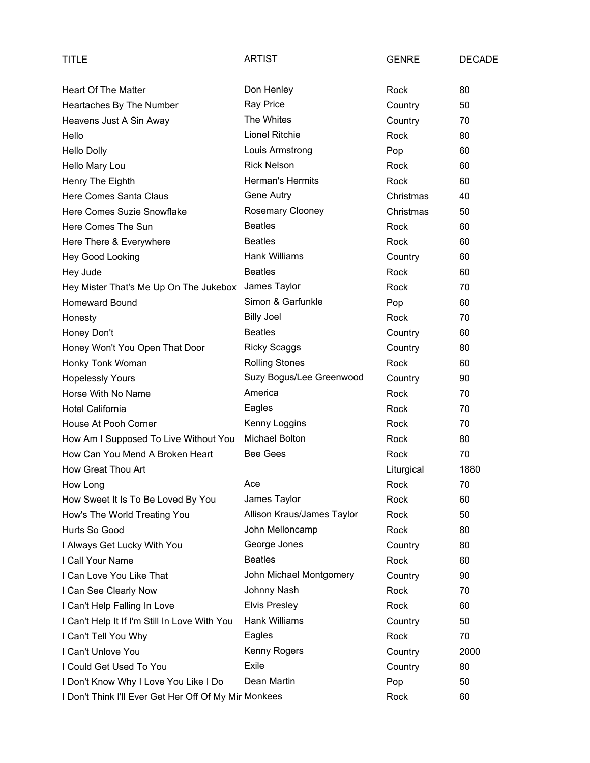| TITLE                                                 | <b>ARTIST</b>              | <b>GENRE</b> | <b>DECADE</b> |
|-------------------------------------------------------|----------------------------|--------------|---------------|
| <b>Heart Of The Matter</b>                            | Don Henley                 | Rock         | 80            |
| Heartaches By The Number                              | Ray Price                  | Country      | 50            |
| Heavens Just A Sin Away                               | The Whites                 | Country      | 70            |
| Hello                                                 | Lionel Ritchie             | Rock         | 80            |
| <b>Hello Dolly</b>                                    | Louis Armstrong            | Pop          | 60            |
| Hello Mary Lou                                        | <b>Rick Nelson</b>         | Rock         | 60            |
| Henry The Eighth                                      | Herman's Hermits           | Rock         | 60            |
| Here Comes Santa Claus                                | Gene Autry                 | Christmas    | 40            |
| Here Comes Suzie Snowflake                            | Rosemary Clooney           | Christmas    | 50            |
| Here Comes The Sun                                    | <b>Beatles</b>             | Rock         | 60            |
| Here There & Everywhere                               | <b>Beatles</b>             | Rock         | 60            |
| Hey Good Looking                                      | Hank Williams              | Country      | 60            |
| Hey Jude                                              | <b>Beatles</b>             | Rock         | 60            |
| Hey Mister That's Me Up On The Jukebox                | James Taylor               | Rock         | 70            |
| <b>Homeward Bound</b>                                 | Simon & Garfunkle          | Pop          | 60            |
| Honesty                                               | <b>Billy Joel</b>          | Rock         | 70            |
| Honey Don't                                           | <b>Beatles</b>             | Country      | 60            |
| Honey Won't You Open That Door                        | <b>Ricky Scaggs</b>        | Country      | 80            |
| Honky Tonk Woman                                      | <b>Rolling Stones</b>      | Rock         | 60            |
| <b>Hopelessly Yours</b>                               | Suzy Bogus/Lee Greenwood   | Country      | 90            |
| Horse With No Name                                    | America                    | Rock         | 70            |
| Hotel California                                      | Eagles                     | Rock         | 70            |
| House At Pooh Corner                                  | Kenny Loggins              | Rock         | 70            |
| How Am I Supposed To Live Without You                 | Michael Bolton             | Rock         | 80            |
| How Can You Mend A Broken Heart                       | <b>Bee Gees</b>            | Rock         | 70            |
| How Great Thou Art                                    |                            | Liturgical   | 1880          |
| How Long                                              | Ace                        | Rock         | 70            |
| How Sweet It Is To Be Loved By You                    | James Taylor               | Rock         | 60            |
| How's The World Treating You                          | Allison Kraus/James Taylor | Rock         | 50            |
| Hurts So Good                                         | John Melloncamp            | Rock         | 80            |
| I Always Get Lucky With You                           | George Jones               | Country      | 80            |
| I Call Your Name                                      | <b>Beatles</b>             | Rock         | 60            |
| I Can Love You Like That                              | John Michael Montgomery    | Country      | 90            |
| I Can See Clearly Now                                 | Johnny Nash                | Rock         | 70            |
| I Can't Help Falling In Love                          | <b>Elvis Presley</b>       | Rock         | 60            |
| I Can't Help It If I'm Still In Love With You         | Hank Williams              | Country      | 50            |
| I Can't Tell You Why                                  | Eagles                     | Rock         | 70            |
| I Can't Unlove You                                    | Kenny Rogers               | Country      | 2000          |
| I Could Get Used To You                               | Exile                      | Country      | 80            |
| I Don't Know Why I Love You Like I Do                 | Dean Martin                | Pop          | 50            |
| I Don't Think I'll Ever Get Her Off Of My Mir Monkees |                            | Rock         | 60            |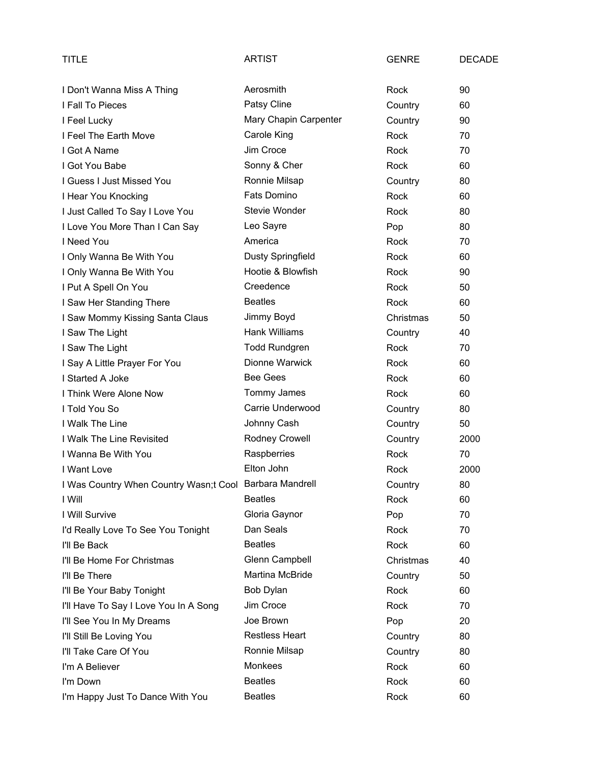| TITLE                                                   | <b>ARTIST</b>          | <b>GENRE</b> | <b>DECADE</b> |
|---------------------------------------------------------|------------------------|--------------|---------------|
| I Don't Wanna Miss A Thing                              | Aerosmith              | Rock         | 90            |
| I Fall To Pieces                                        | Patsy Cline            | Country      | 60            |
| I Feel Lucky                                            | Mary Chapin Carpenter  | Country      | 90            |
| I Feel The Earth Move                                   | Carole King            | Rock         | 70            |
| I Got A Name                                            | Jim Croce              | Rock         | 70            |
| I Got You Babe                                          | Sonny & Cher           | Rock         | 60            |
| I Guess I Just Missed You                               | Ronnie Milsap          | Country      | 80            |
| I Hear You Knocking                                     | Fats Domino            | Rock         | 60            |
| I Just Called To Say I Love You                         | Stevie Wonder          | Rock         | 80            |
| I Love You More Than I Can Say                          | Leo Sayre              | Pop          | 80            |
| I Need You                                              | America                | Rock         | 70            |
| I Only Wanna Be With You                                | Dusty Springfield      | Rock         | 60            |
| I Only Wanna Be With You                                | Hootie & Blowfish      | Rock         | 90            |
| I Put A Spell On You                                    | Creedence              | Rock         | 50            |
| I Saw Her Standing There                                | <b>Beatles</b>         | Rock         | 60            |
| I Saw Mommy Kissing Santa Claus                         | Jimmy Boyd             | Christmas    | 50            |
| I Saw The Light                                         | <b>Hank Williams</b>   | Country      | 40            |
| I Saw The Light                                         | <b>Todd Rundgren</b>   | Rock         | 70            |
| I Say A Little Prayer For You                           | Dionne Warwick         | Rock         | 60            |
| I Started A Joke                                        | <b>Bee Gees</b>        | Rock         | 60            |
| I Think Were Alone Now                                  | Tommy James            | Rock         | 60            |
| I Told You So                                           | Carrie Underwood       | Country      | 80            |
| I Walk The Line                                         | Johnny Cash            | Country      | 50            |
| I Walk The Line Revisited                               | Rodney Crowell         | Country      | 2000          |
| I Wanna Be With You                                     | Raspberries            | Rock         | 70            |
| I Want Love                                             | Elton John             | Rock         | 2000          |
| I Was Country When Country Wasn;t Cool Barbara Mandrell |                        | Country      | 80            |
| I Will                                                  | <b>Beatles</b>         | Rock         | 60            |
| I Will Survive                                          | Gloria Gaynor          | Pop          | 70            |
| I'd Really Love To See You Tonight                      | Dan Seals              | Rock         | 70            |
| I'll Be Back                                            | <b>Beatles</b>         | Rock         | 60            |
| I'll Be Home For Christmas                              | Glenn Campbell         | Christmas    | 40            |
| I'll Be There                                           | <b>Martina McBride</b> | Country      | 50            |
| I'll Be Your Baby Tonight                               | Bob Dylan              | Rock         | 60            |
| I'll Have To Say I Love You In A Song                   | Jim Croce              | Rock         | 70            |
| I'll See You In My Dreams                               | Joe Brown              | Pop          | 20            |
| I'll Still Be Loving You                                | <b>Restless Heart</b>  | Country      | 80            |
| I'll Take Care Of You                                   | Ronnie Milsap          | Country      | 80            |
| I'm A Believer                                          | Monkees                | Rock         | 60            |
| I'm Down                                                | <b>Beatles</b>         | Rock         | 60            |
| I'm Happy Just To Dance With You                        | <b>Beatles</b>         | Rock         | 60            |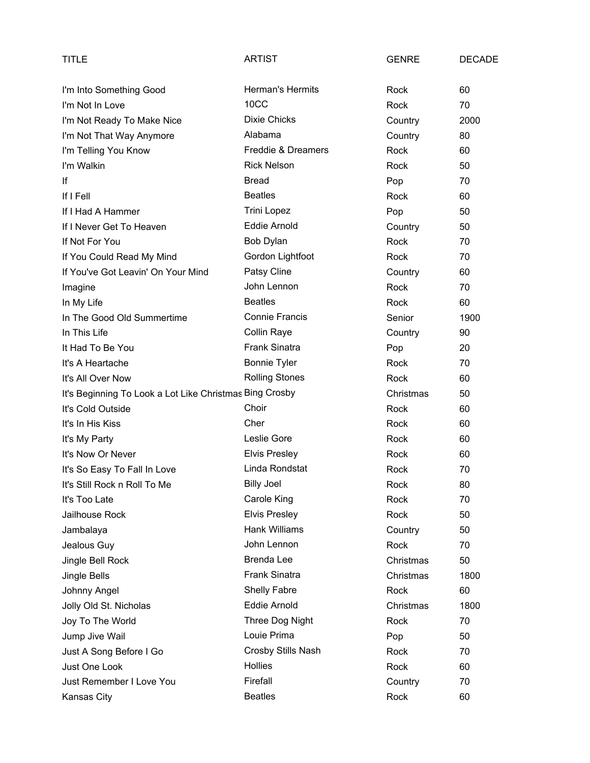| TITLE                                                   | ARTIST                  | <b>GENRE</b> | <b>DECADE</b> |
|---------------------------------------------------------|-------------------------|--------------|---------------|
| I'm Into Something Good                                 | <b>Herman's Hermits</b> | Rock         | 60            |
| I'm Not In Love                                         | 10CC                    | Rock         | 70            |
| I'm Not Ready To Make Nice                              | <b>Dixie Chicks</b>     | Country      | 2000          |
| I'm Not That Way Anymore                                | Alabama                 | Country      | 80            |
| I'm Telling You Know                                    | Freddie & Dreamers      | Rock         | 60            |
| I'm Walkin                                              | <b>Rick Nelson</b>      | Rock         | 50            |
| lf                                                      | <b>Bread</b>            | Pop          | 70            |
| If I Fell                                               | <b>Beatles</b>          | Rock         | 60            |
| If I Had A Hammer                                       | <b>Trini Lopez</b>      | Pop          | 50            |
| If I Never Get To Heaven                                | <b>Eddie Arnold</b>     | Country      | 50            |
| If Not For You                                          | Bob Dylan               | Rock         | 70            |
| If You Could Read My Mind                               | Gordon Lightfoot        | Rock         | 70            |
| If You've Got Leavin' On Your Mind                      | Patsy Cline             | Country      | 60            |
| Imagine                                                 | John Lennon             | Rock         | 70            |
| In My Life                                              | <b>Beatles</b>          | Rock         | 60            |
| In The Good Old Summertime                              | <b>Connie Francis</b>   | Senior       | 1900          |
| In This Life                                            | Collin Raye             | Country      | 90            |
| It Had To Be You                                        | Frank Sinatra           | Pop          | 20            |
| It's A Heartache                                        | <b>Bonnie Tyler</b>     | Rock         | 70            |
| It's All Over Now                                       | <b>Rolling Stones</b>   | Rock         | 60            |
| It's Beginning To Look a Lot Like Christmas Bing Crosby |                         | Christmas    | 50            |
| It's Cold Outside                                       | Choir                   | Rock         | 60            |
| It's In His Kiss                                        | Cher                    | Rock         | 60            |
| It's My Party                                           | Leslie Gore             | Rock         | 60            |
| It's Now Or Never                                       | <b>Elvis Presley</b>    | Rock         | 60            |
| It's So Easy To Fall In Love                            | Linda Rondstat          | Rock         | 70            |
| It's Still Rock n Roll To Me                            | <b>Billy Joel</b>       | Rock         | 80            |
| It's Too Late                                           | Carole King             | Rock         | 70            |
| Jailhouse Rock                                          | <b>Elvis Presley</b>    | Rock         | 50            |
| Jambalaya                                               | Hank Williams           | Country      | 50            |
| Jealous Guy                                             | John Lennon             | Rock         | 70            |
| Jingle Bell Rock                                        | <b>Brenda Lee</b>       | Christmas    | 50            |
| Jingle Bells                                            | Frank Sinatra           | Christmas    | 1800          |
| Johnny Angel                                            | Shelly Fabre            | Rock         | 60            |
| Jolly Old St. Nicholas                                  | Eddie Arnold            | Christmas    | 1800          |
| Joy To The World                                        | Three Dog Night         | Rock         | 70            |
| Jump Jive Wail                                          | Louie Prima             | Pop          | 50            |
| Just A Song Before I Go                                 | Crosby Stills Nash      | Rock         | 70            |
| Just One Look                                           | <b>Hollies</b>          | Rock         | 60            |
| Just Remember I Love You                                | Firefall                | Country      | 70            |
| Kansas City                                             | <b>Beatles</b>          | Rock         | 60            |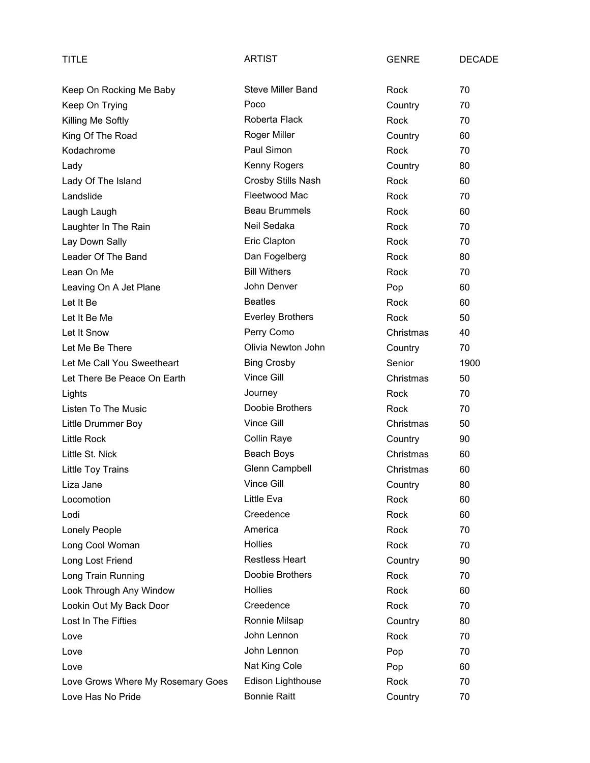| TITLE                             | <b>ARTIST</b>            | <b>GENRE</b> | <b>DECADE</b> |
|-----------------------------------|--------------------------|--------------|---------------|
| Keep On Rocking Me Baby           | <b>Steve Miller Band</b> | Rock         | 70            |
| Keep On Trying                    | Poco                     | Country      | 70            |
| Killing Me Softly                 | Roberta Flack            | Rock         | 70            |
| King Of The Road                  | Roger Miller             | Country      | 60            |
| Kodachrome                        | Paul Simon               | Rock         | 70            |
| Lady                              | Kenny Rogers             | Country      | 80            |
| Lady Of The Island                | Crosby Stills Nash       | Rock         | 60            |
| Landslide                         | Fleetwood Mac            | Rock         | 70            |
| Laugh Laugh                       | <b>Beau Brummels</b>     | Rock         | 60            |
| Laughter In The Rain              | Neil Sedaka              | Rock         | 70            |
| Lay Down Sally                    | Eric Clapton             | Rock         | 70            |
| Leader Of The Band                | Dan Fogelberg            | Rock         | 80            |
| Lean On Me                        | <b>Bill Withers</b>      | Rock         | 70            |
| Leaving On A Jet Plane            | John Denver              | Pop          | 60            |
| Let It Be                         | <b>Beatles</b>           | Rock         | 60            |
| Let It Be Me                      | <b>Everley Brothers</b>  | Rock         | 50            |
| Let It Snow                       | Perry Como               | Christmas    | 40            |
| Let Me Be There                   | Olivia Newton John       | Country      | 70            |
| Let Me Call You Sweetheart        | <b>Bing Crosby</b>       | Senior       | 1900          |
| Let There Be Peace On Earth       | Vince Gill               | Christmas    | 50            |
| Lights                            | Journey                  | Rock         | 70            |
| Listen To The Music               | Doobie Brothers          | Rock         | 70            |
| Little Drummer Boy                | Vince Gill               | Christmas    | 50            |
| <b>Little Rock</b>                | Collin Raye              | Country      | 90            |
| Little St. Nick                   | Beach Boys               | Christmas    | 60            |
| Little Toy Trains                 | Glenn Campbell           | Christmas    | 60            |
| Liza Jane                         | Vince Gill               | Country      | 80            |
| Locomotion                        | Little Eva               | Rock         | 60            |
| Lodi                              | Creedence                | Rock         | 60            |
| Lonely People                     | America                  | Rock         | 70            |
| Long Cool Woman                   | Hollies                  | Rock         | 70            |
| Long Lost Friend                  | <b>Restless Heart</b>    | Country      | 90            |
| Long Train Running                | Doobie Brothers          | Rock         | 70            |
| Look Through Any Window           | <b>Hollies</b>           | Rock         | 60            |
| Lookin Out My Back Door           | Creedence                | Rock         | 70            |
| Lost In The Fifties               | Ronnie Milsap            | Country      | 80            |
| Love                              | John Lennon              | Rock         | 70            |
| Love                              | John Lennon              | Pop          | 70            |
| Love                              | Nat King Cole            | Pop          | 60            |
| Love Grows Where My Rosemary Goes | Edison Lighthouse        | Rock         | 70            |
| Love Has No Pride                 | <b>Bonnie Raitt</b>      | Country      | 70            |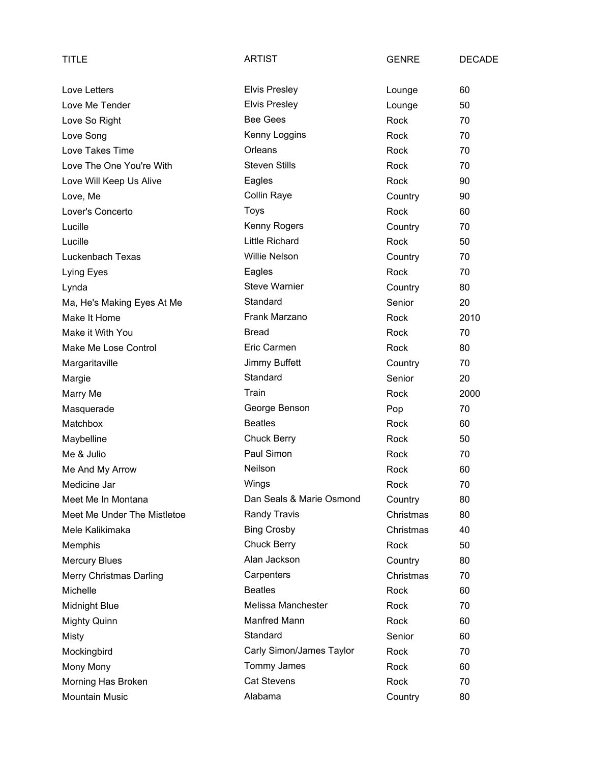| <b>TITLE</b>                | <b>ARTIST</b>            | <b>GENRE</b> | <b>DECADE</b> |
|-----------------------------|--------------------------|--------------|---------------|
| Love Letters                | <b>Elvis Presley</b>     | Lounge       | 60            |
| Love Me Tender              | <b>Elvis Presley</b>     | Lounge       | 50            |
| Love So Right               | <b>Bee Gees</b>          | Rock         | 70            |
| Love Song                   | Kenny Loggins            | Rock         | 70            |
| Love Takes Time             | Orleans                  | Rock         | 70            |
| Love The One You're With    | <b>Steven Stills</b>     | Rock         | 70            |
| Love Will Keep Us Alive     | Eagles                   | Rock         | 90            |
| Love, Me                    | <b>Collin Raye</b>       | Country      | 90            |
| Lover's Concerto            | Toys                     | Rock         | 60            |
| Lucille                     | Kenny Rogers             | Country      | 70            |
| Lucille                     | <b>Little Richard</b>    | Rock         | 50            |
| Luckenbach Texas            | <b>Willie Nelson</b>     | Country      | 70            |
| Lying Eyes                  | Eagles                   | Rock         | 70            |
| Lynda                       | <b>Steve Warnier</b>     | Country      | 80            |
| Ma, He's Making Eyes At Me  | Standard                 | Senior       | 20            |
| Make It Home                | Frank Marzano            | Rock         | 2010          |
| Make it With You            | <b>Bread</b>             | Rock         | 70            |
| Make Me Lose Control        | Eric Carmen              | Rock         | 80            |
| Margaritaville              | Jimmy Buffett            | Country      | 70            |
| Margie                      | Standard                 | Senior       | 20            |
| Marry Me                    | Train                    | Rock         | 2000          |
| Masquerade                  | George Benson            | Pop          | 70            |
| Matchbox                    | <b>Beatles</b>           | Rock         | 60            |
| Maybelline                  | <b>Chuck Berry</b>       | Rock         | 50            |
| Me & Julio                  | Paul Simon               | Rock         | 70            |
| Me And My Arrow             | Neilson                  | Rock         | 60            |
| Medicine Jar                | Wings                    | Rock         | 70            |
| Meet Me In Montana          | Dan Seals & Marie Osmond | Country      | 80            |
| Meet Me Under The Mistletoe | Randy Travis             | Christmas    | 80            |
| Mele Kalikimaka             | <b>Bing Crosby</b>       | Christmas    | 40            |
| Memphis                     | <b>Chuck Berry</b>       | Rock         | 50            |
| <b>Mercury Blues</b>        | Alan Jackson             | Country      | 80            |
| Merry Christmas Darling     | Carpenters               | Christmas    | 70            |
| Michelle                    | <b>Beatles</b>           | Rock         | 60            |
| <b>Midnight Blue</b>        | Melissa Manchester       | Rock         | 70            |
| <b>Mighty Quinn</b>         | Manfred Mann             | Rock         | 60            |
| Misty                       | Standard                 | Senior       | 60            |
| Mockingbird                 | Carly Simon/James Taylor | Rock         | 70            |
| Mony Mony                   | Tommy James              | Rock         | 60            |
| Morning Has Broken          | <b>Cat Stevens</b>       | Rock         | 70            |
| <b>Mountain Music</b>       | Alabama                  | Country      | 80            |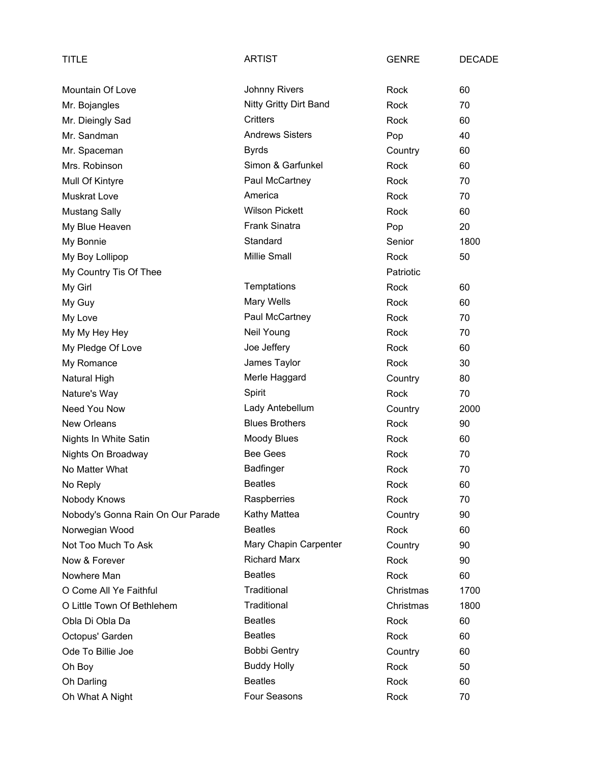| TITLE                             | <b>ARTIST</b>          | <b>GENRE</b> | <b>DECADE</b> |
|-----------------------------------|------------------------|--------------|---------------|
| Mountain Of Love                  | <b>Johnny Rivers</b>   | Rock         | 60            |
| Mr. Bojangles                     | Nitty Gritty Dirt Band | Rock         | 70            |
| Mr. Dieingly Sad                  | Critters               | Rock         | 60            |
| Mr. Sandman                       | <b>Andrews Sisters</b> | Pop          | 40            |
| Mr. Spaceman                      | <b>Byrds</b>           | Country      | 60            |
| Mrs. Robinson                     | Simon & Garfunkel      | <b>Rock</b>  | 60            |
| Mull Of Kintyre                   | Paul McCartney         | Rock         | 70            |
| <b>Muskrat Love</b>               | America                | Rock         | 70            |
| <b>Mustang Sally</b>              | <b>Wilson Pickett</b>  | Rock         | 60            |
| My Blue Heaven                    | <b>Frank Sinatra</b>   | Pop          | 20            |
| My Bonnie                         | Standard               | Senior       | 1800          |
| My Boy Lollipop                   | Millie Small           | Rock         | 50            |
| My Country Tis Of Thee            |                        | Patriotic    |               |
| My Girl                           | Temptations            | Rock         | 60            |
| My Guy                            | <b>Mary Wells</b>      | Rock         | 60            |
| My Love                           | Paul McCartney         | Rock         | 70            |
| My My Hey Hey                     | Neil Young             | Rock         | 70            |
| My Pledge Of Love                 | Joe Jeffery            | Rock         | 60            |
| My Romance                        | James Taylor           | Rock         | 30            |
| Natural High                      | Merle Haggard          | Country      | 80            |
| Nature's Way                      | Spirit                 | Rock         | 70            |
| Need You Now                      | Lady Antebellum        | Country      | 2000          |
| New Orleans                       | <b>Blues Brothers</b>  | Rock         | 90            |
| Nights In White Satin             | <b>Moody Blues</b>     | Rock         | 60            |
| Nights On Broadway                | <b>Bee Gees</b>        | Rock         | 70            |
| No Matter What                    | Badfinger              | Rock         | 70            |
| No Reply                          | <b>Beatles</b>         | Rock         | 60            |
| Nobody Knows                      | Raspberries            | Rock         | 70            |
| Nobody's Gonna Rain On Our Parade | Kathy Mattea           | Country      | 90            |
| Norwegian Wood                    | <b>Beatles</b>         | Rock         | 60            |
| Not Too Much To Ask               | Mary Chapin Carpenter  | Country      | 90            |
| Now & Forever                     | <b>Richard Marx</b>    | Rock         | 90            |
| Nowhere Man                       | <b>Beatles</b>         | Rock         | 60            |
| O Come All Ye Faithful            | Traditional            | Christmas    | 1700          |
| O Little Town Of Bethlehem        | Traditional            | Christmas    | 1800          |
| Obla Di Obla Da                   | <b>Beatles</b>         | Rock         | 60            |
| Octopus' Garden                   | <b>Beatles</b>         | Rock         | 60            |
| Ode To Billie Joe                 | <b>Bobbi Gentry</b>    | Country      | 60            |
| Oh Boy                            | <b>Buddy Holly</b>     | Rock         | 50            |
| Oh Darling                        | <b>Beatles</b>         | Rock         | 60            |
| Oh What A Night                   | Four Seasons           | Rock         | 70            |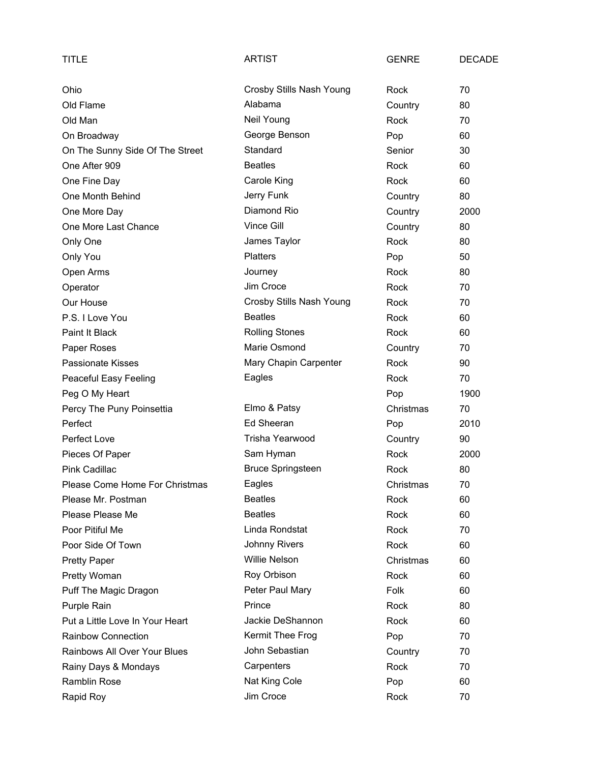| TITLE                           | <b>ARTIST</b>            | <b>GENRE</b> | <b>DECADE</b> |
|---------------------------------|--------------------------|--------------|---------------|
| Ohio                            | Crosby Stills Nash Young | Rock         | 70            |
| Old Flame                       | Alabama                  | Country      | 80            |
| Old Man                         | Neil Young               | Rock         | 70            |
| On Broadway                     | George Benson            | Pop          | 60            |
| On The Sunny Side Of The Street | Standard                 | Senior       | 30            |
| One After 909                   | <b>Beatles</b>           | Rock         | 60            |
| One Fine Day                    | Carole King              | Rock         | 60            |
| One Month Behind                | Jerry Funk               | Country      | 80            |
| One More Day                    | Diamond Rio              | Country      | 2000          |
| One More Last Chance            | Vince Gill               | Country      | 80            |
| Only One                        | James Taylor             | Rock         | 80            |
| Only You                        | <b>Platters</b>          | Pop          | 50            |
| Open Arms                       | Journey                  | Rock         | 80            |
| Operator                        | Jim Croce                | Rock         | 70            |
| Our House                       | Crosby Stills Nash Young | Rock         | 70            |
| P.S. I Love You                 | <b>Beatles</b>           | Rock         | 60            |
| Paint It Black                  | <b>Rolling Stones</b>    | Rock         | 60            |
| Paper Roses                     | Marie Osmond             | Country      | 70            |
| <b>Passionate Kisses</b>        | Mary Chapin Carpenter    | Rock         | 90            |
| Peaceful Easy Feeling           | Eagles                   | Rock         | 70            |
| Peg O My Heart                  |                          | Pop          | 1900          |
| Percy The Puny Poinsettia       | Elmo & Patsy             | Christmas    | 70            |
| Perfect                         | Ed Sheeran               | Pop          | 2010          |
| Perfect Love                    | Trisha Yearwood          | Country      | 90            |
| Pieces Of Paper                 | Sam Hyman                | Rock         | 2000          |
| Pink Cadillac                   | <b>Bruce Springsteen</b> | Rock         | 80            |
| Please Come Home For Christmas  | Eagles                   | Christmas    | 70            |
| Please Mr. Postman              | <b>Beatles</b>           | Rock         | 60            |
| Please Please Me                | <b>Beatles</b>           | Rock         | 60            |
| Poor Pitiful Me                 | Linda Rondstat           | Rock         | 70            |
| Poor Side Of Town               | <b>Johnny Rivers</b>     | Rock         | 60            |
| <b>Pretty Paper</b>             | Willie Nelson            | Christmas    | 60            |
| Pretty Woman                    | Roy Orbison              | Rock         | 60            |
| Puff The Magic Dragon           | Peter Paul Mary          | Folk         | 60            |
| Purple Rain                     | Prince                   | Rock         | 80            |
| Put a Little Love In Your Heart | Jackie DeShannon         | Rock         | 60            |
| Rainbow Connection              | Kermit Thee Frog         | Pop          | 70            |
| Rainbows All Over Your Blues    | John Sebastian           | Country      | 70            |
| Rainy Days & Mondays            | Carpenters               | Rock         | 70            |
| Ramblin Rose                    | Nat King Cole            | Pop          | 60            |
| Rapid Roy                       | Jim Croce                | Rock         | 70            |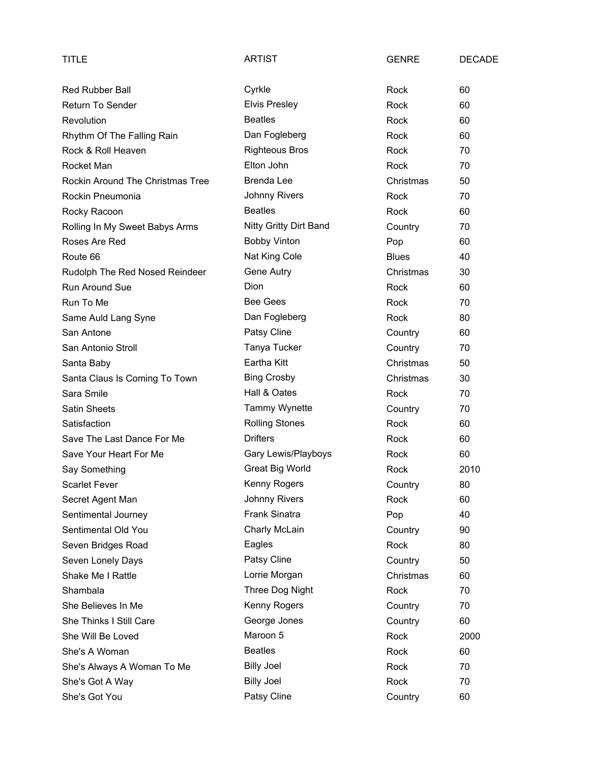| TITLE                            | <b>ARTIST</b>          | <b>GENRE</b> | <b>DECADE</b> |
|----------------------------------|------------------------|--------------|---------------|
| <b>Red Rubber Ball</b>           | Cyrkle                 | Rock         | 60            |
| <b>Return To Sender</b>          | <b>Elvis Presley</b>   | Rock         | 60            |
| Revolution                       | <b>Beatles</b>         | Rock         | 60            |
| Rhythm Of The Falling Rain       | Dan Fogleberg          | Rock         | 60            |
| Rock & Roll Heaven               | <b>Righteous Bros</b>  | Rock         | 70            |
| Rocket Man                       | Elton John             | Rock         | 70            |
| Rockin Around The Christmas Tree | <b>Brenda Lee</b>      | Christmas    | 50            |
| Rockin Pneumonia                 | <b>Johnny Rivers</b>   | Rock         | 70            |
| Rocky Racoon                     | <b>Beatles</b>         | Rock         | 60            |
| Rolling In My Sweet Babys Arms   | Nitty Gritty Dirt Band | Country      | 70            |
| Roses Are Red                    | <b>Bobby Vinton</b>    | Pop          | 60            |
| Route 66                         | Nat King Cole          | <b>Blues</b> | 40            |
| Rudolph The Red Nosed Reindeer   | Gene Autry             | Christmas    | 30            |
| <b>Run Around Sue</b>            | <b>Dion</b>            | Rock         | 60            |
| Run To Me                        | <b>Bee Gees</b>        | Rock         | 70            |
| Same Auld Lang Syne              | Dan Fogleberg          | Rock         | 80            |
| San Antone                       | Patsy Cline            | Country      | 60            |
| San Antonio Stroll               | Tanya Tucker           | Country      | 70            |
| Santa Baby                       | Eartha Kitt            | Christmas    | 50            |
| Santa Claus Is Coming To Town    | <b>Bing Crosby</b>     | Christmas    | 30            |
| Sara Smile                       | Hall & Oates           | Rock         | 70            |
| <b>Satin Sheets</b>              | <b>Tammy Wynette</b>   | Country      | 70            |
| Satisfaction                     | <b>Rolling Stones</b>  | Rock         | 60            |
| Save The Last Dance For Me       | <b>Drifters</b>        | Rock         | 60            |
| Save Your Heart For Me           | Gary Lewis/Playboys    | Rock         | 60            |
| Say Something                    | <b>Great Big World</b> | Rock         | 2010          |
| <b>Scarlet Fever</b>             | Kenny Rogers           | Country      | 80            |
| Secret Agent Man                 | <b>Johnny Rivers</b>   | Rock         | 60            |
| Sentimental Journey              | Frank Sinatra          | Pop          | 40            |
| Sentimental Old You              | Charly McLain          | Country      | 90            |
| Seven Bridges Road               | Eagles                 | Rock         | 80            |
| Seven Lonely Days                | Patsy Cline            | Country      | 50            |
| Shake Me I Rattle                | Lorrie Morgan          | Christmas    | 60            |
| Shambala                         | Three Dog Night        | Rock         | 70            |
| She Believes In Me               | Kenny Rogers           | Country      | 70            |
| She Thinks I Still Care          | George Jones           | Country      | 60            |
| She Will Be Loved                | Maroon 5               | Rock         | 2000          |
| She's A Woman                    | <b>Beatles</b>         | Rock         | 60            |
| She's Always A Woman To Me       | <b>Billy Joel</b>      | Rock         | 70            |
| She's Got A Way                  | <b>Billy Joel</b>      | Rock         | 70            |
| She's Got You                    | Patsy Cline            | Country      | 60            |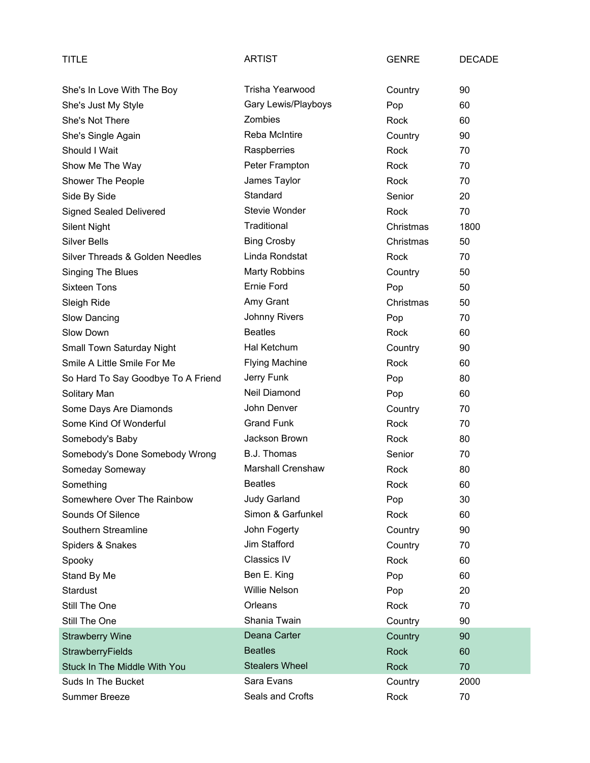| <b>TITLE</b>                       | <b>ARTIST</b>            | <b>GENRE</b> | <b>DECADE</b> |
|------------------------------------|--------------------------|--------------|---------------|
| She's In Love With The Boy         | Trisha Yearwood          | Country      | 90            |
| She's Just My Style                | Gary Lewis/Playboys      | Pop          | 60            |
| She's Not There                    | Zombies                  | Rock         | 60            |
| She's Single Again                 | Reba McIntire            | Country      | 90            |
| Should I Wait                      | Raspberries              | Rock         | 70            |
| Show Me The Way                    | Peter Frampton           | Rock         | 70            |
| Shower The People                  | James Taylor             | Rock         | 70            |
| Side By Side                       | Standard                 | Senior       | 20            |
| <b>Signed Sealed Delivered</b>     | Stevie Wonder            | Rock         | 70            |
| <b>Silent Night</b>                | Traditional              | Christmas    | 1800          |
| <b>Silver Bells</b>                | <b>Bing Crosby</b>       | Christmas    | 50            |
| Silver Threads & Golden Needles    | Linda Rondstat           | Rock         | 70            |
| Singing The Blues                  | <b>Marty Robbins</b>     | Country      | 50            |
| <b>Sixteen Tons</b>                | Ernie Ford               | Pop          | 50            |
| Sleigh Ride                        | Amy Grant                | Christmas    | 50            |
| Slow Dancing                       | <b>Johnny Rivers</b>     | Pop          | 70            |
| Slow Down                          | <b>Beatles</b>           | Rock         | 60            |
| Small Town Saturday Night          | Hal Ketchum              | Country      | 90            |
| Smile A Little Smile For Me        | <b>Flying Machine</b>    | Rock         | 60            |
| So Hard To Say Goodbye To A Friend | Jerry Funk               | Pop          | 80            |
| Solitary Man                       | Neil Diamond             | Pop          | 60            |
| Some Days Are Diamonds             | John Denver              | Country      | 70            |
| Some Kind Of Wonderful             | <b>Grand Funk</b>        | Rock         | 70            |
| Somebody's Baby                    | Jackson Brown            | <b>Rock</b>  | 80            |
| Somebody's Done Somebody Wrong     | B.J. Thomas              | Senior       | 70            |
| Someday Someway                    | <b>Marshall Crenshaw</b> | Rock         | 80            |
| Something                          | <b>Beatles</b>           | Rock         | 60            |
| Somewhere Over The Rainbow         | <b>Judy Garland</b>      | Pop          | 30            |
| Sounds Of Silence                  | Simon & Garfunkel        | Rock         | 60            |
| Southern Streamline                | John Fogerty             | Country      | 90            |
| Spiders & Snakes                   | Jim Stafford             | Country      | 70            |
| Spooky                             | Classics IV              | Rock         | 60            |
| Stand By Me                        | Ben E. King              | Pop          | 60            |
| <b>Stardust</b>                    | Willie Nelson            | Pop          | 20            |
| Still The One                      | Orleans                  | Rock         | 70            |
| Still The One                      | Shania Twain             | Country      | 90            |
| <b>Strawberry Wine</b>             | Deana Carter             | Country      | 90            |
| StrawberryFields                   | <b>Beatles</b>           | <b>Rock</b>  | 60            |
| Stuck In The Middle With You       | <b>Stealers Wheel</b>    | <b>Rock</b>  | 70            |
| Suds In The Bucket                 | Sara Evans               | Country      | 2000          |
| <b>Summer Breeze</b>               | Seals and Crofts         | Rock         | 70            |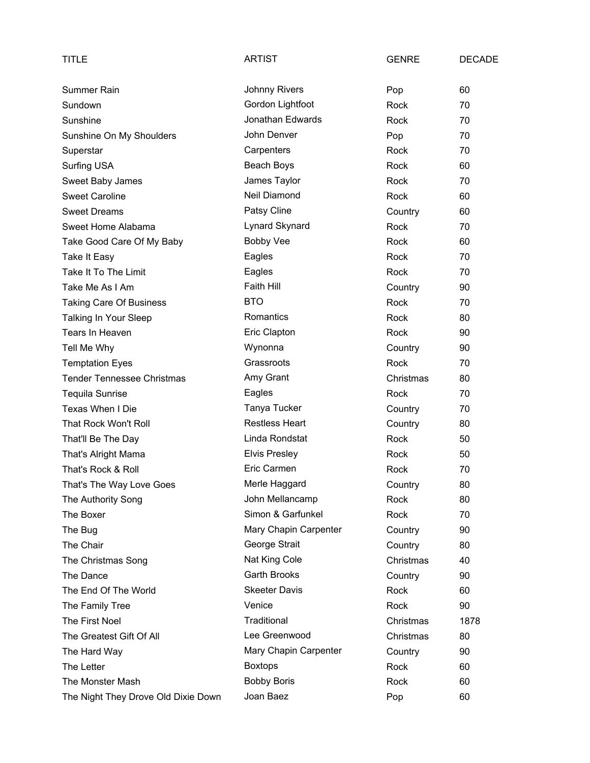| TITLE                               | <b>ARTIST</b>         | <b>GENRE</b> | <b>DECADE</b> |
|-------------------------------------|-----------------------|--------------|---------------|
| Summer Rain                         | <b>Johnny Rivers</b>  | Pop          | 60            |
| Sundown                             | Gordon Lightfoot      | Rock         | 70            |
| Sunshine                            | Jonathan Edwards      | Rock         | 70            |
| Sunshine On My Shoulders            | John Denver           | Pop          | 70            |
| Superstar                           | Carpenters            | Rock         | 70            |
| <b>Surfing USA</b>                  | Beach Boys            | Rock         | 60            |
| Sweet Baby James                    | James Taylor          | Rock         | 70            |
| <b>Sweet Caroline</b>               | Neil Diamond          | Rock         | 60            |
| <b>Sweet Dreams</b>                 | Patsy Cline           | Country      | 60            |
| Sweet Home Alabama                  | Lynard Skynard        | Rock         | 70            |
| Take Good Care Of My Baby           | <b>Bobby Vee</b>      | Rock         | 60            |
| Take It Easy                        | Eagles                | Rock         | 70            |
| Take It To The Limit                | Eagles                | Rock         | 70            |
| Take Me As I Am                     | Faith Hill            | Country      | 90            |
| <b>Taking Care Of Business</b>      | <b>BTO</b>            | <b>Rock</b>  | 70            |
| Talking In Your Sleep               | Romantics             | Rock         | 80            |
| Tears In Heaven                     | Eric Clapton          | Rock         | 90            |
| Tell Me Why                         | Wynonna               | Country      | 90            |
| <b>Temptation Eyes</b>              | Grassroots            | Rock         | 70            |
| <b>Tender Tennessee Christmas</b>   | Amy Grant             | Christmas    | 80            |
| <b>Tequila Sunrise</b>              | Eagles                | Rock         | 70            |
| Texas When I Die                    | Tanya Tucker          | Country      | 70            |
| That Rock Won't Roll                | <b>Restless Heart</b> | Country      | 80            |
| That'll Be The Day                  | Linda Rondstat        | Rock         | 50            |
| That's Alright Mama                 | <b>Elvis Presley</b>  | Rock         | 50            |
| That's Rock & Roll                  | Eric Carmen           | Rock         | 70            |
| That's The Way Love Goes            | Merle Haggard         | Country      | 80            |
| The Authority Song                  | John Mellancamp       | Rock         | 80            |
| The Boxer                           | Simon & Garfunkel     | Rock         | 70            |
| The Bug                             | Mary Chapin Carpenter | Country      | 90            |
| The Chair                           | George Strait         | Country      | 80            |
| The Christmas Song                  | Nat King Cole         | Christmas    | 40            |
| The Dance                           | <b>Garth Brooks</b>   | Country      | 90            |
| The End Of The World                | <b>Skeeter Davis</b>  | Rock         | 60            |
| The Family Tree                     | Venice                | Rock         | 90            |
| The First Noel                      | Traditional           | Christmas    | 1878          |
| The Greatest Gift Of All            | Lee Greenwood         | Christmas    | 80            |
| The Hard Way                        | Mary Chapin Carpenter | Country      | 90            |
| The Letter                          | <b>Boxtops</b>        | Rock         | 60            |
| The Monster Mash                    | <b>Bobby Boris</b>    | Rock         | 60            |
| The Night They Drove Old Dixie Down | Joan Baez             | Pop          | 60            |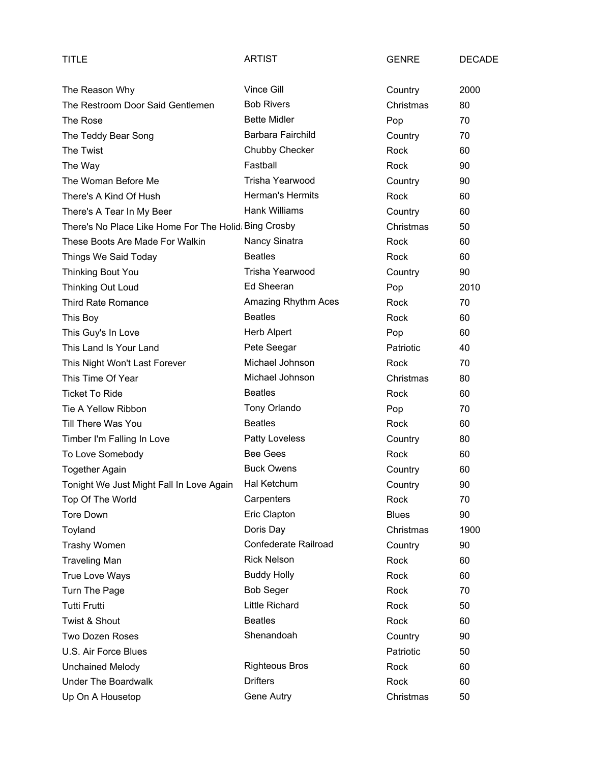| TITLE                                                | <b>ARTIST</b>          | <b>GENRE</b> | <b>DECADE</b> |
|------------------------------------------------------|------------------------|--------------|---------------|
| The Reason Why                                       | Vince Gill             | Country      | 2000          |
| The Restroom Door Said Gentlemen                     | <b>Bob Rivers</b>      | Christmas    | 80            |
| The Rose                                             | <b>Bette Midler</b>    | Pop          | 70            |
| The Teddy Bear Song                                  | Barbara Fairchild      | Country      | 70            |
| The Twist                                            | Chubby Checker         | Rock         | 60            |
| The Way                                              | Fastball               | <b>Rock</b>  | 90            |
| The Woman Before Me                                  | <b>Trisha Yearwood</b> | Country      | 90            |
| There's A Kind Of Hush                               | Herman's Hermits       | Rock         | 60            |
| There's A Tear In My Beer                            | Hank Williams          | Country      | 60            |
| There's No Place Like Home For The Holid Bing Crosby |                        | Christmas    | 50            |
| These Boots Are Made For Walkin                      | Nancy Sinatra          | Rock         | 60            |
| Things We Said Today                                 | <b>Beatles</b>         | <b>Rock</b>  | 60            |
| Thinking Bout You                                    | Trisha Yearwood        | Country      | 90            |
| Thinking Out Loud                                    | Ed Sheeran             | Pop          | 2010          |
| <b>Third Rate Romance</b>                            | Amazing Rhythm Aces    | Rock         | 70            |
| This Boy                                             | <b>Beatles</b>         | Rock         | 60            |
| This Guy's In Love                                   | <b>Herb Alpert</b>     | Pop          | 60            |
| This Land Is Your Land                               | Pete Seegar            | Patriotic    | 40            |
| This Night Won't Last Forever                        | Michael Johnson        | Rock         | 70            |
| This Time Of Year                                    | Michael Johnson        | Christmas    | 80            |
| <b>Ticket To Ride</b>                                | <b>Beatles</b>         | Rock         | 60            |
| Tie A Yellow Ribbon                                  | Tony Orlando           | Pop          | 70            |
| Till There Was You                                   | <b>Beatles</b>         | Rock         | 60            |
| Timber I'm Falling In Love                           | <b>Patty Loveless</b>  | Country      | 80            |
| To Love Somebody                                     | <b>Bee Gees</b>        | Rock         | 60            |
| <b>Together Again</b>                                | <b>Buck Owens</b>      | Country      | 60            |
| Tonight We Just Might Fall In Love Again             | Hal Ketchum            | Country      | $90\,$        |
| Top Of The World                                     | Carpenters             | Rock         | 70            |
| <b>Tore Down</b>                                     | Eric Clapton           | <b>Blues</b> | 90            |
| Toyland                                              | Doris Day              | Christmas    | 1900          |
| Trashy Women                                         | Confederate Railroad   | Country      | 90            |
| <b>Traveling Man</b>                                 | <b>Rick Nelson</b>     | Rock         | 60            |
| True Love Ways                                       | <b>Buddy Holly</b>     | Rock         | 60            |
| Turn The Page                                        | <b>Bob Seger</b>       | Rock         | 70            |
| <b>Tutti Frutti</b>                                  | <b>Little Richard</b>  | Rock         | 50            |
| Twist & Shout                                        | <b>Beatles</b>         | Rock         | 60            |
| <b>Two Dozen Roses</b>                               | Shenandoah             | Country      | 90            |
| U.S. Air Force Blues                                 |                        | Patriotic    | 50            |
| <b>Unchained Melody</b>                              | <b>Righteous Bros</b>  | Rock         | 60            |
| <b>Under The Boardwalk</b>                           | <b>Drifters</b>        | Rock         | 60            |
| Up On A Housetop                                     | Gene Autry             | Christmas    | 50            |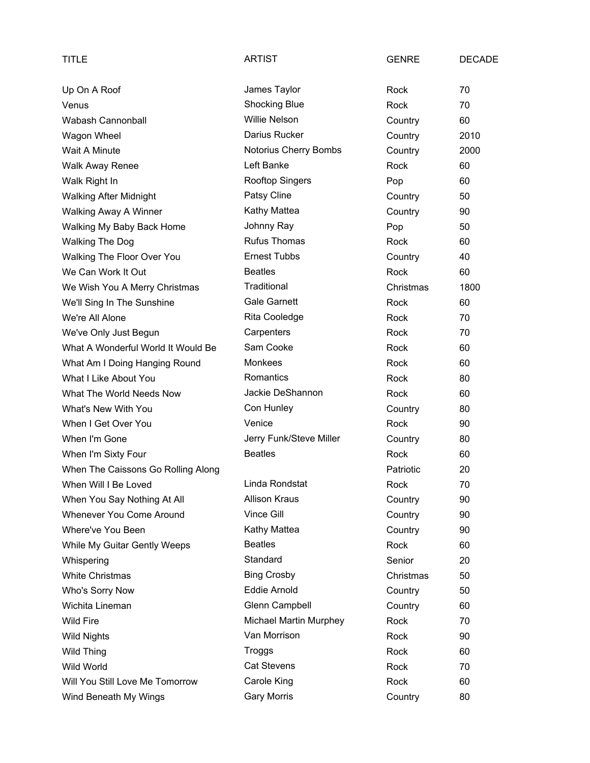| TITLE                              | <b>ARTIST</b>                 | <b>GENRE</b> | <b>DECADE</b> |
|------------------------------------|-------------------------------|--------------|---------------|
| Up On A Roof                       | James Taylor                  | Rock         | 70            |
| Venus                              | <b>Shocking Blue</b>          | Rock         | 70            |
| Wabash Cannonball                  | <b>Willie Nelson</b>          | Country      | 60            |
| Wagon Wheel                        | Darius Rucker                 | Country      | 2010          |
| Wait A Minute                      | Notorius Cherry Bombs         | Country      | 2000          |
| <b>Walk Away Renee</b>             | Left Banke                    | <b>Rock</b>  | 60            |
| Walk Right In                      | Rooftop Singers               | Pop          | 60            |
| <b>Walking After Midnight</b>      | Patsy Cline                   | Country      | 50            |
| Walking Away A Winner              | Kathy Mattea                  | Country      | 90            |
| Walking My Baby Back Home          | Johnny Ray                    | Pop          | 50            |
| <b>Walking The Dog</b>             | <b>Rufus Thomas</b>           | Rock         | 60            |
| Walking The Floor Over You         | <b>Ernest Tubbs</b>           | Country      | 40            |
| We Can Work It Out                 | <b>Beatles</b>                | Rock         | 60            |
| We Wish You A Merry Christmas      | Traditional                   | Christmas    | 1800          |
| We'll Sing In The Sunshine         | <b>Gale Garnett</b>           | Rock         | 60            |
| We're All Alone                    | Rita Cooledge                 | Rock         | 70            |
| We've Only Just Begun              | Carpenters                    | Rock         | 70            |
| What A Wonderful World It Would Be | Sam Cooke                     | Rock         | 60            |
| What Am I Doing Hanging Round      | <b>Monkees</b>                | Rock         | 60            |
| What I Like About You              | Romantics                     | Rock         | 80            |
| What The World Needs Now           | Jackie DeShannon              | Rock         | 60            |
| What's New With You                | Con Hunley                    | Country      | 80            |
| When I Get Over You                | Venice                        | Rock         | 90            |
| When I'm Gone                      | Jerry Funk/Steve Miller       | Country      | 80            |
| When I'm Sixty Four                | <b>Beatles</b>                | Rock         | 60            |
| When The Caissons Go Rolling Along |                               | Patriotic    | 20            |
| When Will I Be Loved               | Linda Rondstat                | Rock         | 70            |
| When You Say Nothing At All        | <b>Allison Kraus</b>          | Country      | 90            |
| Whenever You Come Around           | Vince Gill                    | Country      | 90            |
| Where've You Been                  | Kathy Mattea                  | Country      | 90            |
| While My Guitar Gently Weeps       | <b>Beatles</b>                | Rock         | 60            |
| Whispering                         | Standard                      | Senior       | 20            |
| <b>White Christmas</b>             | <b>Bing Crosby</b>            | Christmas    | 50            |
| Who's Sorry Now                    | <b>Eddie Arnold</b>           | Country      | 50            |
| Wichita Lineman                    | Glenn Campbell                | Country      | 60            |
| <b>Wild Fire</b>                   | <b>Michael Martin Murphey</b> | Rock         | 70            |
| <b>Wild Nights</b>                 | Van Morrison                  | Rock         | 90            |
| Wild Thing                         | Troggs                        | Rock         | 60            |
| Wild World                         | <b>Cat Stevens</b>            | Rock         | 70            |
| Will You Still Love Me Tomorrow    | Carole King                   | Rock         | 60            |
| Wind Beneath My Wings              | Gary Morris                   | Country      | 80            |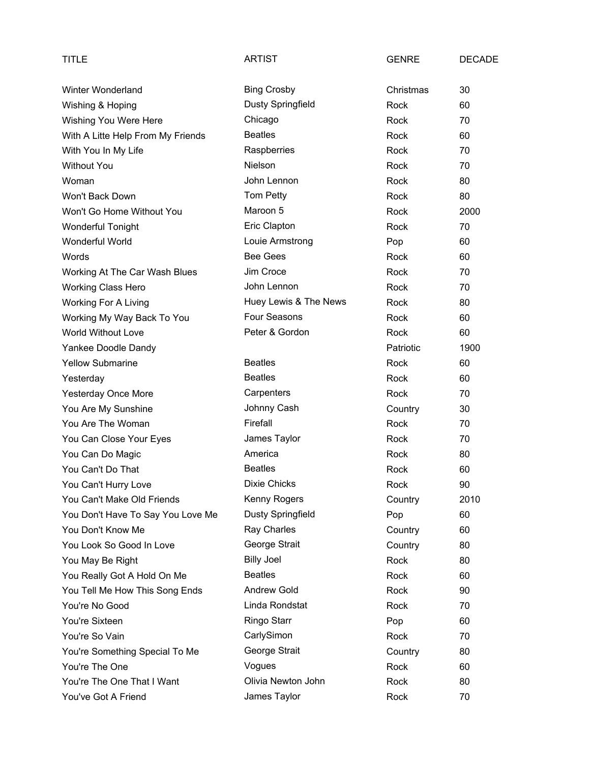| TITLE                             | <b>ARTIST</b>            | <b>GENRE</b> | <b>DECADE</b> |
|-----------------------------------|--------------------------|--------------|---------------|
| Winter Wonderland                 | <b>Bing Crosby</b>       | Christmas    | 30            |
| Wishing & Hoping                  | Dusty Springfield        | Rock         | 60            |
| Wishing You Were Here             | Chicago                  | <b>Rock</b>  | 70            |
| With A Litte Help From My Friends | <b>Beatles</b>           | Rock         | 60            |
| With You In My Life               | Raspberries              | Rock         | 70            |
| <b>Without You</b>                | Nielson                  | Rock         | 70            |
| Woman                             | John Lennon              | Rock         | 80            |
| Won't Back Down                   | Tom Petty                | Rock         | 80            |
| Won't Go Home Without You         | Maroon 5                 | Rock         | 2000          |
| <b>Wonderful Tonight</b>          | Eric Clapton             | Rock         | 70            |
| Wonderful World                   | Louie Armstrong          | Pop          | 60            |
| Words                             | <b>Bee Gees</b>          | Rock         | 60            |
| Working At The Car Wash Blues     | Jim Croce                | <b>Rock</b>  | 70            |
| <b>Working Class Hero</b>         | John Lennon              | Rock         | 70            |
| <b>Working For A Living</b>       | Huey Lewis & The News    | Rock         | 80            |
| Working My Way Back To You        | <b>Four Seasons</b>      | Rock         | 60            |
| World Without Love                | Peter & Gordon           | Rock         | 60            |
| Yankee Doodle Dandy               |                          | Patriotic    | 1900          |
| <b>Yellow Submarine</b>           | <b>Beatles</b>           | Rock         | 60            |
| Yesterday                         | <b>Beatles</b>           | Rock         | 60            |
| <b>Yesterday Once More</b>        | Carpenters               | Rock         | 70            |
| You Are My Sunshine               | Johnny Cash              | Country      | 30            |
| You Are The Woman                 | Firefall                 | Rock         | 70            |
| You Can Close Your Eyes           | James Taylor             | Rock         | 70            |
| You Can Do Magic                  | America                  | Rock         | 80            |
| You Can't Do That                 | <b>Beatles</b>           | Rock         | 60            |
| You Can't Hurry Love              | <b>Dixie Chicks</b>      | Rock         | 90            |
| You Can't Make Old Friends        | Kenny Rogers             | Country      | 2010          |
| You Don't Have To Say You Love Me | <b>Dusty Springfield</b> | Pop          | 60            |
| You Don't Know Me                 | Ray Charles              | Country      | 60            |
| You Look So Good In Love          | George Strait            | Country      | 80            |
| You May Be Right                  | <b>Billy Joel</b>        | Rock         | 80            |
| You Really Got A Hold On Me       | <b>Beatles</b>           | Rock         | 60            |
| You Tell Me How This Song Ends    | <b>Andrew Gold</b>       | Rock         | 90            |
| You're No Good                    | Linda Rondstat           | Rock         | 70            |
| You're Sixteen                    | Ringo Starr              | Pop          | 60            |
| You're So Vain                    | CarlySimon               | Rock         | 70            |
| You're Something Special To Me    | George Strait            | Country      | 80            |
| You're The One                    | Vogues                   | Rock         | 60            |
| You're The One That I Want        | Olivia Newton John       | Rock         | 80            |
| You've Got A Friend               | James Taylor             | Rock         | 70            |